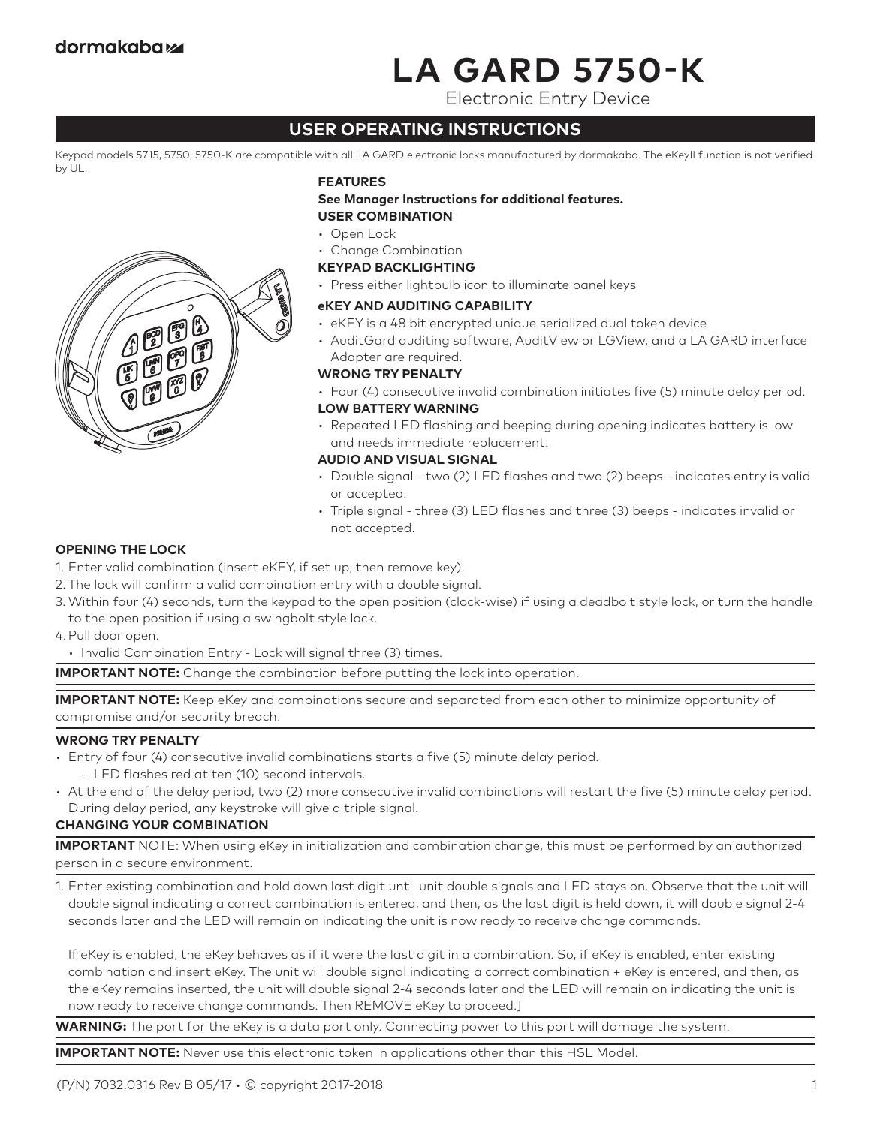# **LA GARD 5750-K**

Electronic Entry Device

# **USER OPERATING INSTRUCTIONS**

Keypad models 5715, 5750, 5750-K are compatible with all LA GARD electronic locks manufactured by dormakaba. The eKeyII function is not verified by UL.



#### **FEATURES**

**See Manager Instructions for additional features. USER COMBINATION**

- Open Lock
- Change Combination

#### **KEYPAD BACKLIGHTING**

• Press either lightbulb icon to illuminate panel keys

# **eKEY AND AUDITING CAPABILITY**

- eKEY is a 48 bit encrypted unique serialized dual token device
- AuditGard auditing software, AuditView or LGView, and a LA GARD interface Adapter are required.

# **WRONG TRY PENALTY**

• Four (4) consecutive invalid combination initiates five (5) minute delay period.

# **LOW BATTERY WARNING**

• Repeated LED flashing and beeping during opening indicates battery is low and needs immediate replacement.

#### **AUDIO AND VISUAL SIGNAL**

- Double signal two (2) LED flashes and two (2) beeps indicates entry is valid or accepted.
- Triple signal three (3) LED flashes and three (3) beeps indicates invalid or not accepted.

# **OPENING THE LOCK**

- 1. Enter valid combination (insert eKEY, if set up, then remove key).
- 2. The lock will confirm a valid combination entry with a double signal.
- 3. Within four (4) seconds, turn the keypad to the open position (clock-wise) if using a deadbolt style lock, or turn the handle to the open position if using a swingbolt style lock.

4.Pull door open.

• Invalid Combination Entry - Lock will signal three (3) times.

**IMPORTANT NOTE:** Change the combination before putting the lock into operation.

**IMPORTANT NOTE:** Keep eKey and combinations secure and separated from each other to minimize opportunity of compromise and/or security breach.

# **WRONG TRY PENALTY**

- Entry of four (4) consecutive invalid combinations starts a five (5) minute delay period. - LED flashes red at ten (10) second intervals.
- At the end of the delay period, two (2) more consecutive invalid combinations will restart the five (5) minute delay period. During delay period, any keystroke will give a triple signal.

# **CHANGING YOUR COMBINATION**

**IMPORTANT** NOTE: When using eKey in initialization and combination change, this must be performed by an authorized person in a secure environment.

1. Enter existing combination and hold down last digit until unit double signals and LED stays on. Observe that the unit will double signal indicating a correct combination is entered, and then, as the last digit is held down, it will double signal 2-4 seconds later and the LED will remain on indicating the unit is now ready to receive change commands.

 If eKey is enabled, the eKey behaves as if it were the last digit in a combination. So, if eKey is enabled, enter existing combination and insert eKey. The unit will double signal indicating a correct combination + eKey is entered, and then, as the eKey remains inserted, the unit will double signal 2-4 seconds later and the LED will remain on indicating the unit is now ready to receive change commands. Then REMOVE eKey to proceed.]

**WARNING:** The port for the eKey is a data port only. Connecting power to this port will damage the system.

**IMPORTANT NOTE:** Never use this electronic token in applications other than this HSL Model.